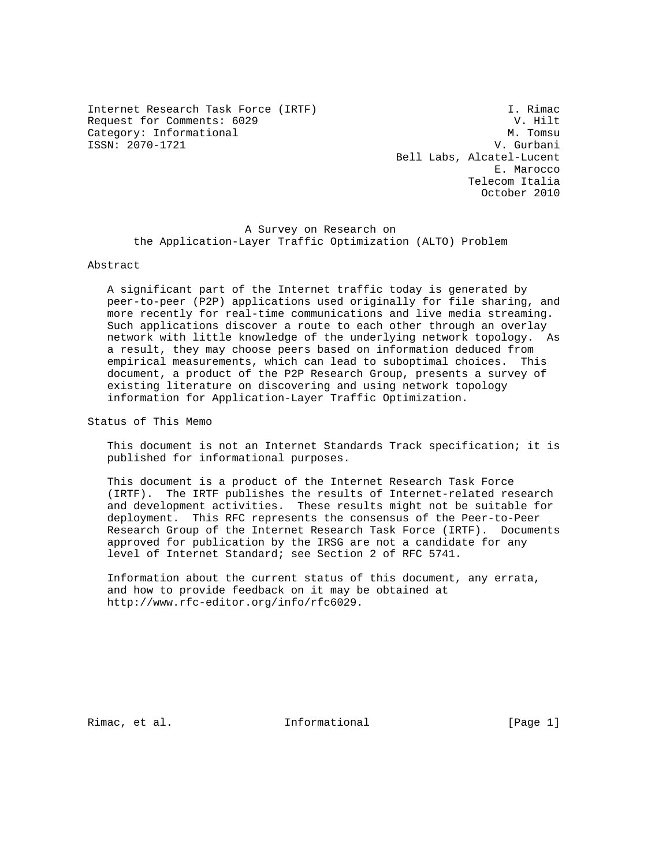Internet Research Task Force (IRTF) **I. Rimac** Request for Comments: 6029 V. Hilt<br>Category: Informational V. W. Tomsu Category: Informational ISSN: 2070-1721 V. Gurbani

 Bell Labs, Alcatel-Lucent E. Marocco Telecom Italia October 2010

 A Survey on Research on the Application-Layer Traffic Optimization (ALTO) Problem

#### Abstract

 A significant part of the Internet traffic today is generated by peer-to-peer (P2P) applications used originally for file sharing, and more recently for real-time communications and live media streaming. Such applications discover a route to each other through an overlay network with little knowledge of the underlying network topology. As a result, they may choose peers based on information deduced from empirical measurements, which can lead to suboptimal choices. This document, a product of the P2P Research Group, presents a survey of existing literature on discovering and using network topology information for Application-Layer Traffic Optimization.

Status of This Memo

 This document is not an Internet Standards Track specification; it is published for informational purposes.

 This document is a product of the Internet Research Task Force (IRTF). The IRTF publishes the results of Internet-related research and development activities. These results might not be suitable for deployment. This RFC represents the consensus of the Peer-to-Peer Research Group of the Internet Research Task Force (IRTF). Documents approved for publication by the IRSG are not a candidate for any level of Internet Standard; see Section 2 of RFC 5741.

 Information about the current status of this document, any errata, and how to provide feedback on it may be obtained at http://www.rfc-editor.org/info/rfc6029.

Rimac, et al. Informational [Page 1]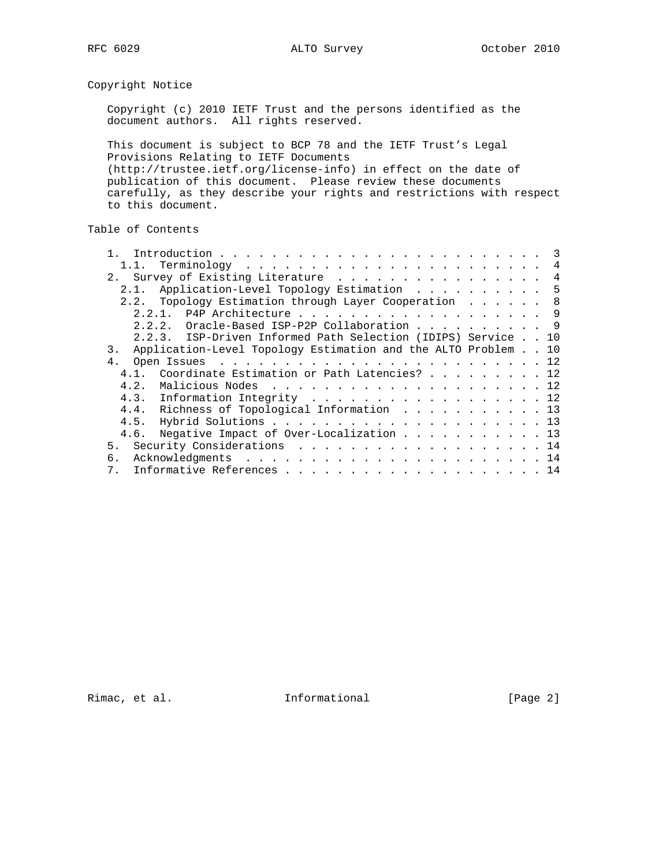Copyright Notice

 Copyright (c) 2010 IETF Trust and the persons identified as the document authors. All rights reserved.

 This document is subject to BCP 78 and the IETF Trust's Legal Provisions Relating to IETF Documents (http://trustee.ietf.org/license-info) in effect on the date of publication of this document. Please review these documents carefully, as they describe your rights and restrictions with respect to this document.

# Table of Contents

|                                                                     |  | 4 |
|---------------------------------------------------------------------|--|---|
| 2. Survey of Existing Literature                                    |  | 4 |
| 2.1. Application-Level Topology Estimation 5                        |  |   |
| 2.2. Topology Estimation through Layer Cooperation 8                |  |   |
| 2.2.1. P4P Architecture 9                                           |  |   |
| 2.2.2. Oracle-Based ISP-P2P Collaboration 9                         |  |   |
| 2.2.3. ISP-Driven Informed Path Selection (IDIPS) Service 10        |  |   |
| Application-Level Topology Estimation and the ALTO Problem 10<br>3. |  |   |
| 4 <sub>1</sub>                                                      |  |   |
| 4.1. Coordinate Estimation or Path Latencies? 12                    |  |   |
| 4.2.                                                                |  |   |
| 4.3. Information Integrity 12                                       |  |   |
| 4.4. Richness of Topological Information 13                         |  |   |
| 4.5.                                                                |  |   |
| Negative Impact of Over-Localization 13<br>4.6.                     |  |   |
| 5. Security Considerations 14                                       |  |   |
| б.                                                                  |  |   |
| 7 <sup>1</sup>                                                      |  |   |

Rimac, et al. 1nformational 1999 [Page 2]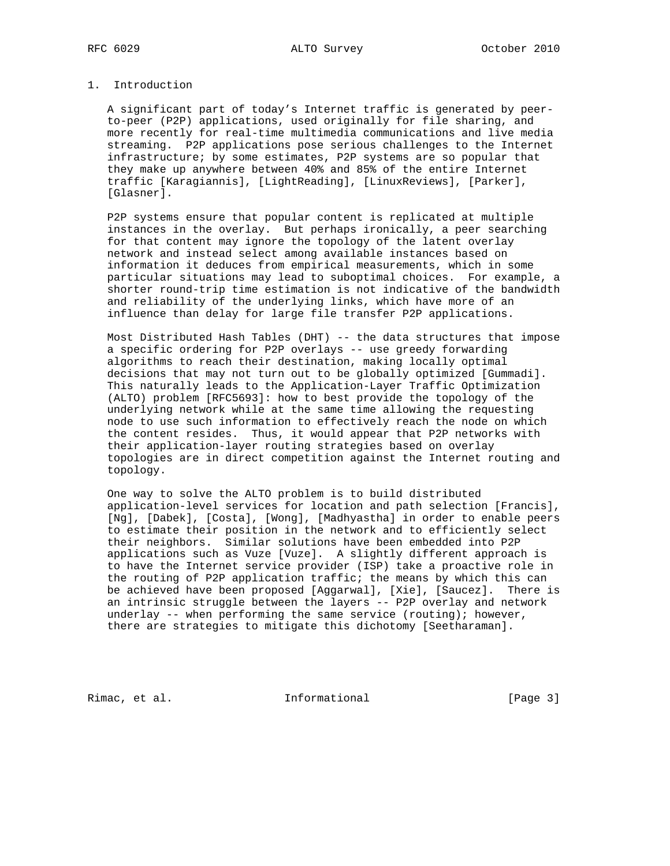## 1. Introduction

 A significant part of today's Internet traffic is generated by peer to-peer (P2P) applications, used originally for file sharing, and more recently for real-time multimedia communications and live media streaming. P2P applications pose serious challenges to the Internet infrastructure; by some estimates, P2P systems are so popular that they make up anywhere between 40% and 85% of the entire Internet traffic [Karagiannis], [LightReading], [LinuxReviews], [Parker], [Glasner].

 P2P systems ensure that popular content is replicated at multiple instances in the overlay. But perhaps ironically, a peer searching for that content may ignore the topology of the latent overlay network and instead select among available instances based on information it deduces from empirical measurements, which in some particular situations may lead to suboptimal choices. For example, a shorter round-trip time estimation is not indicative of the bandwidth and reliability of the underlying links, which have more of an influence than delay for large file transfer P2P applications.

 Most Distributed Hash Tables (DHT) -- the data structures that impose a specific ordering for P2P overlays -- use greedy forwarding algorithms to reach their destination, making locally optimal decisions that may not turn out to be globally optimized [Gummadi]. This naturally leads to the Application-Layer Traffic Optimization (ALTO) problem [RFC5693]: how to best provide the topology of the underlying network while at the same time allowing the requesting node to use such information to effectively reach the node on which the content resides. Thus, it would appear that P2P networks with their application-layer routing strategies based on overlay topologies are in direct competition against the Internet routing and topology.

 One way to solve the ALTO problem is to build distributed application-level services for location and path selection [Francis], [Ng], [Dabek], [Costa], [Wong], [Madhyastha] in order to enable peers to estimate their position in the network and to efficiently select their neighbors. Similar solutions have been embedded into P2P applications such as Vuze [Vuze]. A slightly different approach is to have the Internet service provider (ISP) take a proactive role in the routing of P2P application traffic; the means by which this can be achieved have been proposed [Aggarwal], [Xie], [Saucez]. There is an intrinsic struggle between the layers -- P2P overlay and network underlay  $--$  when performing the same service (routing); however, there are strategies to mitigate this dichotomy [Seetharaman].

Rimac, et al. 1nformational [Page 3]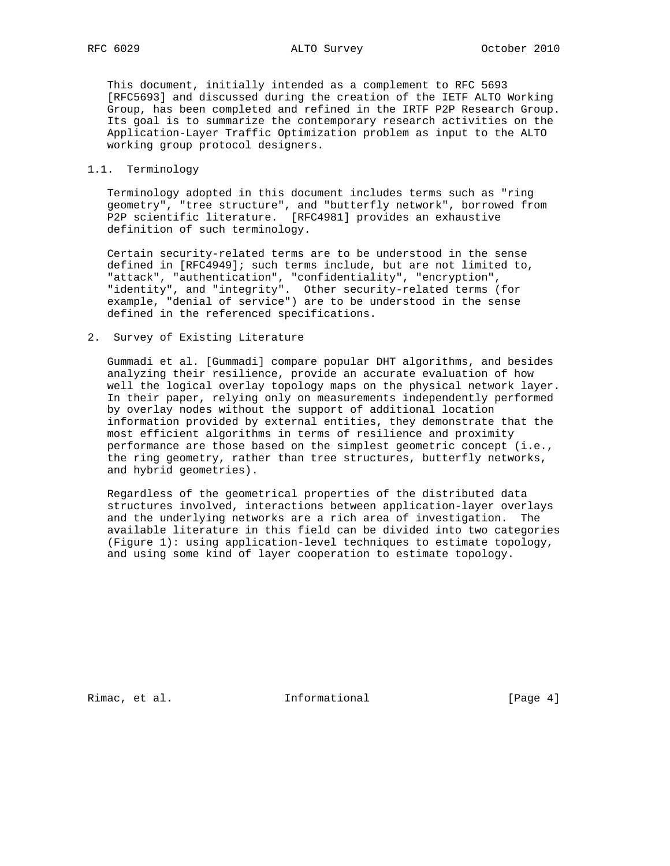This document, initially intended as a complement to RFC 5693 [RFC5693] and discussed during the creation of the IETF ALTO Working Group, has been completed and refined in the IRTF P2P Research Group. Its goal is to summarize the contemporary research activities on the Application-Layer Traffic Optimization problem as input to the ALTO working group protocol designers.

### 1.1. Terminology

 Terminology adopted in this document includes terms such as "ring geometry", "tree structure", and "butterfly network", borrowed from P2P scientific literature. [RFC4981] provides an exhaustive definition of such terminology.

 Certain security-related terms are to be understood in the sense defined in [RFC4949]; such terms include, but are not limited to, "attack", "authentication", "confidentiality", "encryption", "identity", and "integrity". Other security-related terms (for example, "denial of service") are to be understood in the sense defined in the referenced specifications.

2. Survey of Existing Literature

 Gummadi et al. [Gummadi] compare popular DHT algorithms, and besides analyzing their resilience, provide an accurate evaluation of how well the logical overlay topology maps on the physical network layer. In their paper, relying only on measurements independently performed by overlay nodes without the support of additional location information provided by external entities, they demonstrate that the most efficient algorithms in terms of resilience and proximity performance are those based on the simplest geometric concept (i.e., the ring geometry, rather than tree structures, butterfly networks, and hybrid geometries).

 Regardless of the geometrical properties of the distributed data structures involved, interactions between application-layer overlays and the underlying networks are a rich area of investigation. The available literature in this field can be divided into two categories (Figure 1): using application-level techniques to estimate topology, and using some kind of layer cooperation to estimate topology.

Rimac, et al. 1nformational [Page 4]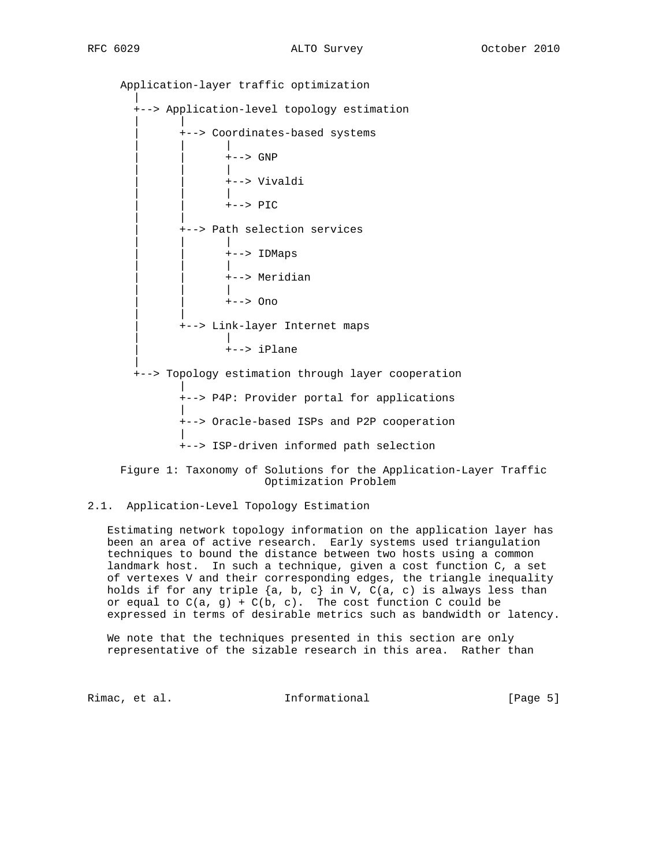Application-layer traffic optimization | +--> Application-level topology estimation | | | +--> Coordinates-based systems | | | | | +--> GNP | | | | | +--> Vivaldi | | | | | +--> PIC | | | +--> Path selection services | | | | | +--> IDMaps | | | | | +--> Meridian | | | | | +--> Ono | | | +--> Link-layer Internet maps | | | +--> iPlane | +--> Topology estimation through layer cooperation | +--> P4P: Provider portal for applications | +--> Oracle-based ISPs and P2P cooperation | +--> ISP-driven informed path selection

 Figure 1: Taxonomy of Solutions for the Application-Layer Traffic Optimization Problem

# 2.1. Application-Level Topology Estimation

 Estimating network topology information on the application layer has been an area of active research. Early systems used triangulation techniques to bound the distance between two hosts using a common landmark host. In such a technique, given a cost function C, a set of vertexes V and their corresponding edges, the triangle inequality holds if for any triple  $\{a, b, c\}$  in V, C(a, c) is always less than or equal to  $C(a, g) + C(b, c)$ . The cost function C could be expressed in terms of desirable metrics such as bandwidth or latency.

 We note that the techniques presented in this section are only representative of the sizable research in this area. Rather than

Rimac, et al. 1nformational [Page 5]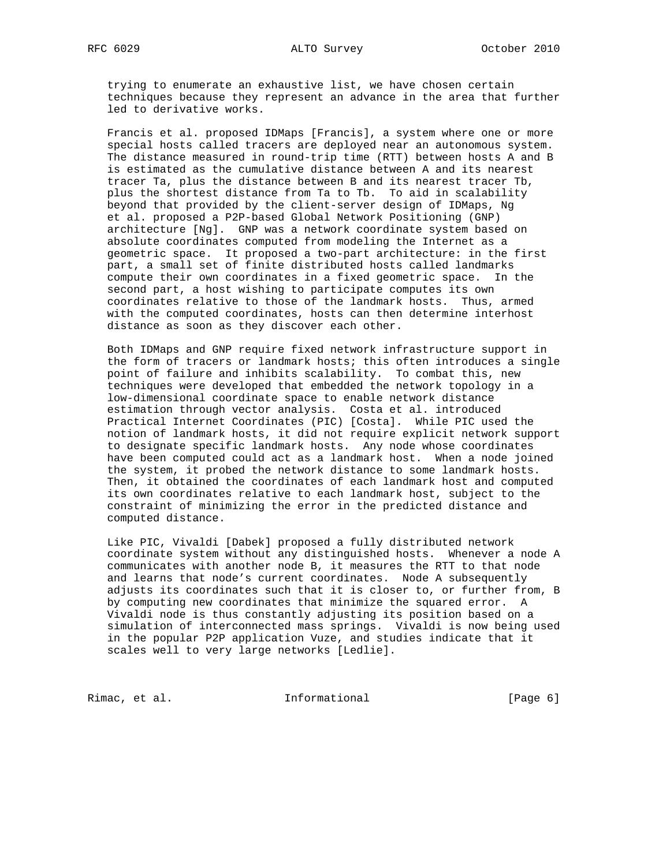trying to enumerate an exhaustive list, we have chosen certain techniques because they represent an advance in the area that further led to derivative works.

 Francis et al. proposed IDMaps [Francis], a system where one or more special hosts called tracers are deployed near an autonomous system. The distance measured in round-trip time (RTT) between hosts A and B is estimated as the cumulative distance between A and its nearest tracer Ta, plus the distance between B and its nearest tracer Tb, plus the shortest distance from Ta to Tb. To aid in scalability beyond that provided by the client-server design of IDMaps, Ng et al. proposed a P2P-based Global Network Positioning (GNP) architecture [Ng]. GNP was a network coordinate system based on absolute coordinates computed from modeling the Internet as a geometric space. It proposed a two-part architecture: in the first part, a small set of finite distributed hosts called landmarks compute their own coordinates in a fixed geometric space. In the second part, a host wishing to participate computes its own coordinates relative to those of the landmark hosts. Thus, armed with the computed coordinates, hosts can then determine interhost distance as soon as they discover each other.

 Both IDMaps and GNP require fixed network infrastructure support in the form of tracers or landmark hosts; this often introduces a single point of failure and inhibits scalability. To combat this, new techniques were developed that embedded the network topology in a low-dimensional coordinate space to enable network distance estimation through vector analysis. Costa et al. introduced Practical Internet Coordinates (PIC) [Costa]. While PIC used the notion of landmark hosts, it did not require explicit network support to designate specific landmark hosts. Any node whose coordinates have been computed could act as a landmark host. When a node joined the system, it probed the network distance to some landmark hosts. Then, it obtained the coordinates of each landmark host and computed its own coordinates relative to each landmark host, subject to the constraint of minimizing the error in the predicted distance and computed distance.

 Like PIC, Vivaldi [Dabek] proposed a fully distributed network coordinate system without any distinguished hosts. Whenever a node A communicates with another node B, it measures the RTT to that node and learns that node's current coordinates. Node A subsequently adjusts its coordinates such that it is closer to, or further from, B by computing new coordinates that minimize the squared error. A Vivaldi node is thus constantly adjusting its position based on a simulation of interconnected mass springs. Vivaldi is now being used in the popular P2P application Vuze, and studies indicate that it scales well to very large networks [Ledlie].

Rimac, et al. 1nformational [Page 6]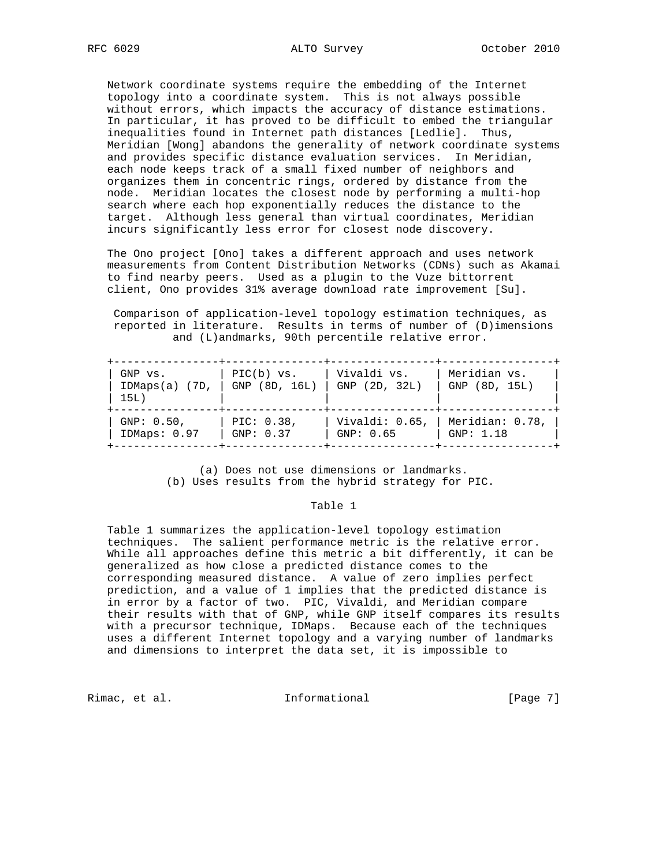Network coordinate systems require the embedding of the Internet topology into a coordinate system. This is not always possible without errors, which impacts the accuracy of distance estimations. In particular, it has proved to be difficult to embed the triangular inequalities found in Internet path distances [Ledlie]. Thus, Meridian [Wong] abandons the generality of network coordinate systems and provides specific distance evaluation services. In Meridian, each node keeps track of a small fixed number of neighbors and organizes them in concentric rings, ordered by distance from the node. Meridian locates the closest node by performing a multi-hop search where each hop exponentially reduces the distance to the target. Although less general than virtual coordinates, Meridian incurs significantly less error for closest node discovery.

 The Ono project [Ono] takes a different approach and uses network measurements from Content Distribution Networks (CDNs) such as Akamai to find nearby peers. Used as a plugin to the Vuze bittorrent client, Ono provides 31% average download rate improvement [Su].

 Comparison of application-level topology estimation techniques, as reported in literature. Results in terms of number of (D)imensions and (L)andmarks, 90th percentile relative error.

| GNP vs.<br>IDMaps(a) (7D,  <br>15L) | $PIC(b)$ vs.<br>GNP (8D, 16L) | Vivaldi vs.<br>GNP (2D, 32L) | Meridian vs.<br>GNP (8D, 15L) |
|-------------------------------------|-------------------------------|------------------------------|-------------------------------|
| $GNP: 0.50$ ,                       | PIC: 0.38,                    | Vivaldi: 0.65,               | Meridian: 0.78,               |
| IDMaps: 0.97                        | GNP: 0.37                     | GNP: 0.65                    | GNP: 1.18                     |

 (a) Does not use dimensions or landmarks. (b) Uses results from the hybrid strategy for PIC.

#### Table 1

 Table 1 summarizes the application-level topology estimation techniques. The salient performance metric is the relative error. While all approaches define this metric a bit differently, it can be generalized as how close a predicted distance comes to the corresponding measured distance. A value of zero implies perfect prediction, and a value of 1 implies that the predicted distance is in error by a factor of two. PIC, Vivaldi, and Meridian compare their results with that of GNP, while GNP itself compares its results with a precursor technique, IDMaps. Because each of the techniques uses a different Internet topology and a varying number of landmarks and dimensions to interpret the data set, it is impossible to

Rimac, et al.  $I_n$  informational [Page 7]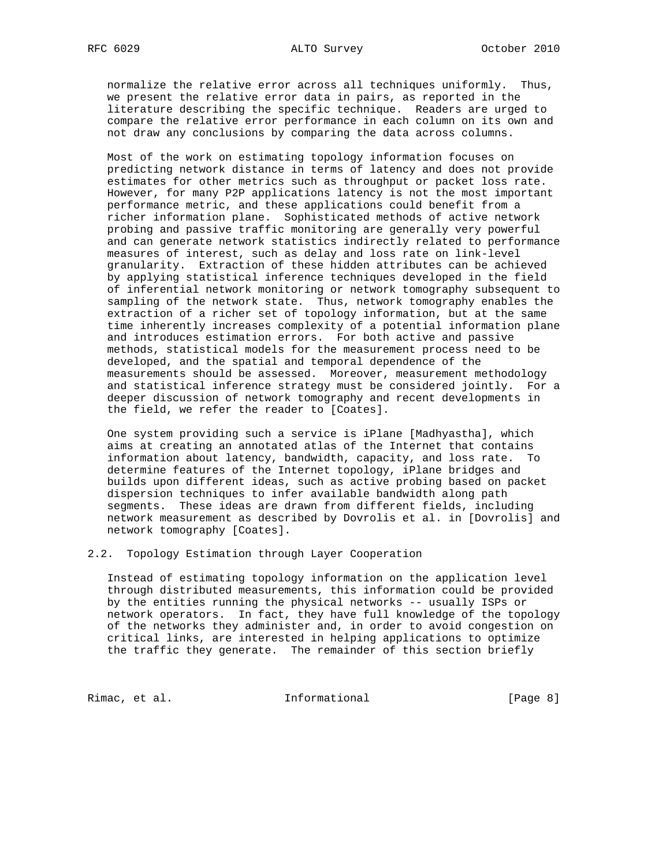normalize the relative error across all techniques uniformly. Thus, we present the relative error data in pairs, as reported in the literature describing the specific technique. Readers are urged to compare the relative error performance in each column on its own and not draw any conclusions by comparing the data across columns.

 Most of the work on estimating topology information focuses on predicting network distance in terms of latency and does not provide estimates for other metrics such as throughput or packet loss rate. However, for many P2P applications latency is not the most important performance metric, and these applications could benefit from a richer information plane. Sophisticated methods of active network probing and passive traffic monitoring are generally very powerful and can generate network statistics indirectly related to performance measures of interest, such as delay and loss rate on link-level granularity. Extraction of these hidden attributes can be achieved by applying statistical inference techniques developed in the field of inferential network monitoring or network tomography subsequent to sampling of the network state. Thus, network tomography enables the extraction of a richer set of topology information, but at the same time inherently increases complexity of a potential information plane and introduces estimation errors. For both active and passive methods, statistical models for the measurement process need to be developed, and the spatial and temporal dependence of the measurements should be assessed. Moreover, measurement methodology and statistical inference strategy must be considered jointly. For a deeper discussion of network tomography and recent developments in the field, we refer the reader to [Coates].

 One system providing such a service is iPlane [Madhyastha], which aims at creating an annotated atlas of the Internet that contains information about latency, bandwidth, capacity, and loss rate. To determine features of the Internet topology, iPlane bridges and builds upon different ideas, such as active probing based on packet dispersion techniques to infer available bandwidth along path segments. These ideas are drawn from different fields, including network measurement as described by Dovrolis et al. in [Dovrolis] and network tomography [Coates].

2.2. Topology Estimation through Layer Cooperation

 Instead of estimating topology information on the application level through distributed measurements, this information could be provided by the entities running the physical networks -- usually ISPs or network operators. In fact, they have full knowledge of the topology of the networks they administer and, in order to avoid congestion on critical links, are interested in helping applications to optimize the traffic they generate. The remainder of this section briefly

Rimac, et al. 1nformational 1999 [Page 8]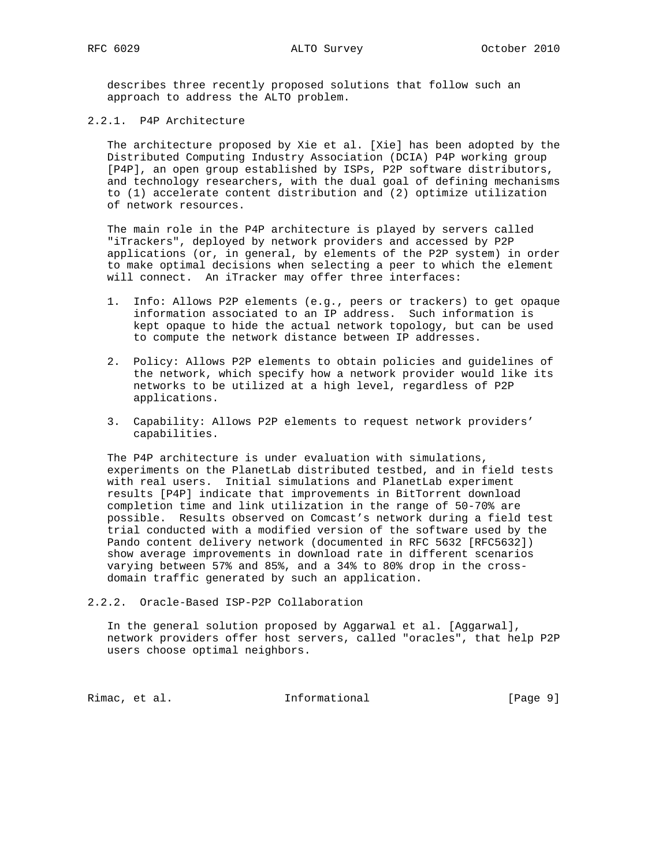describes three recently proposed solutions that follow such an approach to address the ALTO problem.

2.2.1. P4P Architecture

 The architecture proposed by Xie et al. [Xie] has been adopted by the Distributed Computing Industry Association (DCIA) P4P working group [P4P], an open group established by ISPs, P2P software distributors, and technology researchers, with the dual goal of defining mechanisms to (1) accelerate content distribution and (2) optimize utilization of network resources.

 The main role in the P4P architecture is played by servers called "iTrackers", deployed by network providers and accessed by P2P applications (or, in general, by elements of the P2P system) in order to make optimal decisions when selecting a peer to which the element will connect. An iTracker may offer three interfaces:

- 1. Info: Allows P2P elements (e.g., peers or trackers) to get opaque information associated to an IP address. Such information is kept opaque to hide the actual network topology, but can be used to compute the network distance between IP addresses.
- 2. Policy: Allows P2P elements to obtain policies and guidelines of the network, which specify how a network provider would like its networks to be utilized at a high level, regardless of P2P applications.
- 3. Capability: Allows P2P elements to request network providers' capabilities.

 The P4P architecture is under evaluation with simulations, experiments on the PlanetLab distributed testbed, and in field tests with real users. Initial simulations and PlanetLab experiment results [P4P] indicate that improvements in BitTorrent download completion time and link utilization in the range of 50-70% are possible. Results observed on Comcast's network during a field test trial conducted with a modified version of the software used by the Pando content delivery network (documented in RFC 5632 [RFC5632]) show average improvements in download rate in different scenarios varying between 57% and 85%, and a 34% to 80% drop in the cross domain traffic generated by such an application.

2.2.2. Oracle-Based ISP-P2P Collaboration

 In the general solution proposed by Aggarwal et al. [Aggarwal], network providers offer host servers, called "oracles", that help P2P users choose optimal neighbors.

Rimac, et al.  $I_n$  informational  $[Page 9]$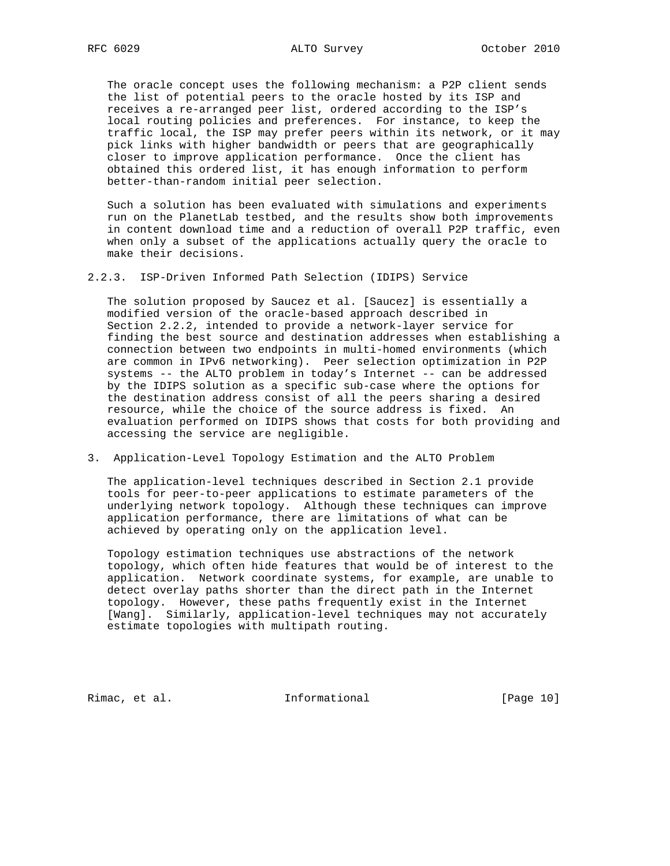The oracle concept uses the following mechanism: a P2P client sends the list of potential peers to the oracle hosted by its ISP and receives a re-arranged peer list, ordered according to the ISP's local routing policies and preferences. For instance, to keep the traffic local, the ISP may prefer peers within its network, or it may pick links with higher bandwidth or peers that are geographically closer to improve application performance. Once the client has obtained this ordered list, it has enough information to perform better-than-random initial peer selection.

 Such a solution has been evaluated with simulations and experiments run on the PlanetLab testbed, and the results show both improvements in content download time and a reduction of overall P2P traffic, even when only a subset of the applications actually query the oracle to make their decisions.

2.2.3. ISP-Driven Informed Path Selection (IDIPS) Service

 The solution proposed by Saucez et al. [Saucez] is essentially a modified version of the oracle-based approach described in Section 2.2.2, intended to provide a network-layer service for finding the best source and destination addresses when establishing a connection between two endpoints in multi-homed environments (which are common in IPv6 networking). Peer selection optimization in P2P systems -- the ALTO problem in today's Internet -- can be addressed by the IDIPS solution as a specific sub-case where the options for the destination address consist of all the peers sharing a desired resource, while the choice of the source address is fixed. An evaluation performed on IDIPS shows that costs for both providing and accessing the service are negligible.

3. Application-Level Topology Estimation and the ALTO Problem

 The application-level techniques described in Section 2.1 provide tools for peer-to-peer applications to estimate parameters of the underlying network topology. Although these techniques can improve application performance, there are limitations of what can be achieved by operating only on the application level.

 Topology estimation techniques use abstractions of the network topology, which often hide features that would be of interest to the application. Network coordinate systems, for example, are unable to detect overlay paths shorter than the direct path in the Internet topology. However, these paths frequently exist in the Internet [Wang]. Similarly, application-level techniques may not accurately estimate topologies with multipath routing.

Rimac, et al. 1nformational [Page 10]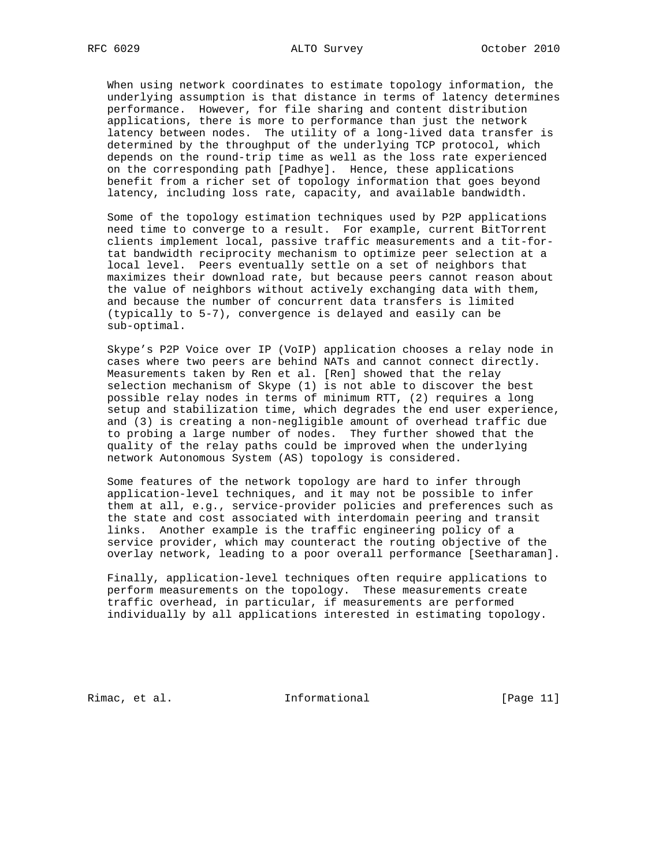When using network coordinates to estimate topology information, the underlying assumption is that distance in terms of latency determines performance. However, for file sharing and content distribution applications, there is more to performance than just the network latency between nodes. The utility of a long-lived data transfer is determined by the throughput of the underlying TCP protocol, which depends on the round-trip time as well as the loss rate experienced on the corresponding path [Padhye]. Hence, these applications benefit from a richer set of topology information that goes beyond latency, including loss rate, capacity, and available bandwidth.

 Some of the topology estimation techniques used by P2P applications need time to converge to a result. For example, current BitTorrent clients implement local, passive traffic measurements and a tit-for tat bandwidth reciprocity mechanism to optimize peer selection at a local level. Peers eventually settle on a set of neighbors that maximizes their download rate, but because peers cannot reason about the value of neighbors without actively exchanging data with them, and because the number of concurrent data transfers is limited (typically to 5-7), convergence is delayed and easily can be sub-optimal.

 Skype's P2P Voice over IP (VoIP) application chooses a relay node in cases where two peers are behind NATs and cannot connect directly. Measurements taken by Ren et al. [Ren] showed that the relay selection mechanism of Skype (1) is not able to discover the best possible relay nodes in terms of minimum RTT, (2) requires a long setup and stabilization time, which degrades the end user experience, and (3) is creating a non-negligible amount of overhead traffic due to probing a large number of nodes. They further showed that the quality of the relay paths could be improved when the underlying network Autonomous System (AS) topology is considered.

 Some features of the network topology are hard to infer through application-level techniques, and it may not be possible to infer them at all, e.g., service-provider policies and preferences such as the state and cost associated with interdomain peering and transit links. Another example is the traffic engineering policy of a service provider, which may counteract the routing objective of the overlay network, leading to a poor overall performance [Seetharaman].

 Finally, application-level techniques often require applications to perform measurements on the topology. These measurements create traffic overhead, in particular, if measurements are performed individually by all applications interested in estimating topology.

Rimac, et al. 1nformational [Page 11]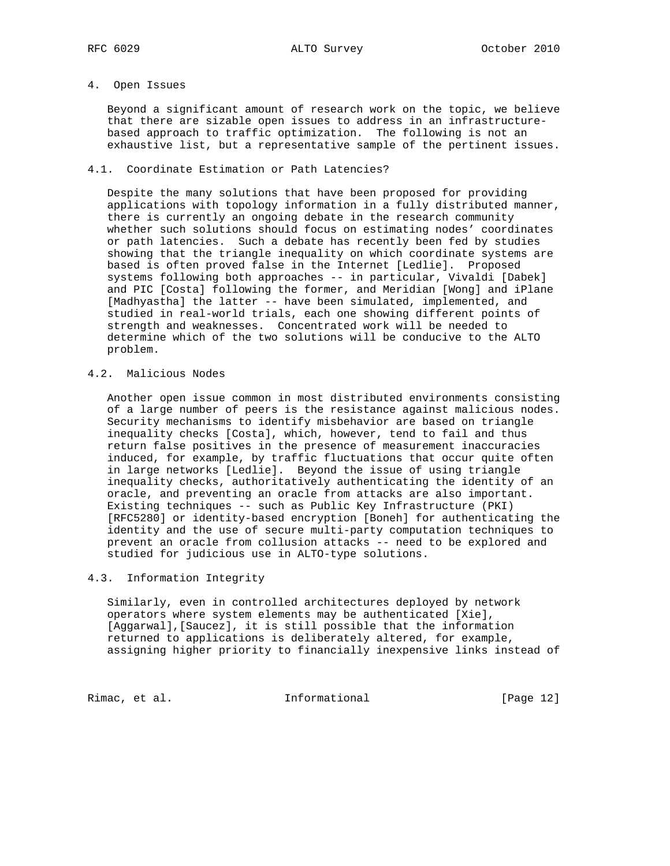# 4. Open Issues

 Beyond a significant amount of research work on the topic, we believe that there are sizable open issues to address in an infrastructure based approach to traffic optimization. The following is not an exhaustive list, but a representative sample of the pertinent issues.

#### 4.1. Coordinate Estimation or Path Latencies?

 Despite the many solutions that have been proposed for providing applications with topology information in a fully distributed manner, there is currently an ongoing debate in the research community whether such solutions should focus on estimating nodes' coordinates or path latencies. Such a debate has recently been fed by studies showing that the triangle inequality on which coordinate systems are based is often proved false in the Internet [Ledlie]. Proposed systems following both approaches -- in particular, Vivaldi [Dabek] and PIC [Costa] following the former, and Meridian [Wong] and iPlane [Madhyastha] the latter -- have been simulated, implemented, and studied in real-world trials, each one showing different points of strength and weaknesses. Concentrated work will be needed to determine which of the two solutions will be conducive to the ALTO problem.

## 4.2. Malicious Nodes

 Another open issue common in most distributed environments consisting of a large number of peers is the resistance against malicious nodes. Security mechanisms to identify misbehavior are based on triangle inequality checks [Costa], which, however, tend to fail and thus return false positives in the presence of measurement inaccuracies induced, for example, by traffic fluctuations that occur quite often in large networks [Ledlie]. Beyond the issue of using triangle inequality checks, authoritatively authenticating the identity of an oracle, and preventing an oracle from attacks are also important. Existing techniques -- such as Public Key Infrastructure (PKI) [RFC5280] or identity-based encryption [Boneh] for authenticating the identity and the use of secure multi-party computation techniques to prevent an oracle from collusion attacks -- need to be explored and studied for judicious use in ALTO-type solutions.

## 4.3. Information Integrity

 Similarly, even in controlled architectures deployed by network operators where system elements may be authenticated [Xie], [Aggarwal],[Saucez], it is still possible that the information returned to applications is deliberately altered, for example, assigning higher priority to financially inexpensive links instead of

Rimac, et al. 1nformational [Page 12]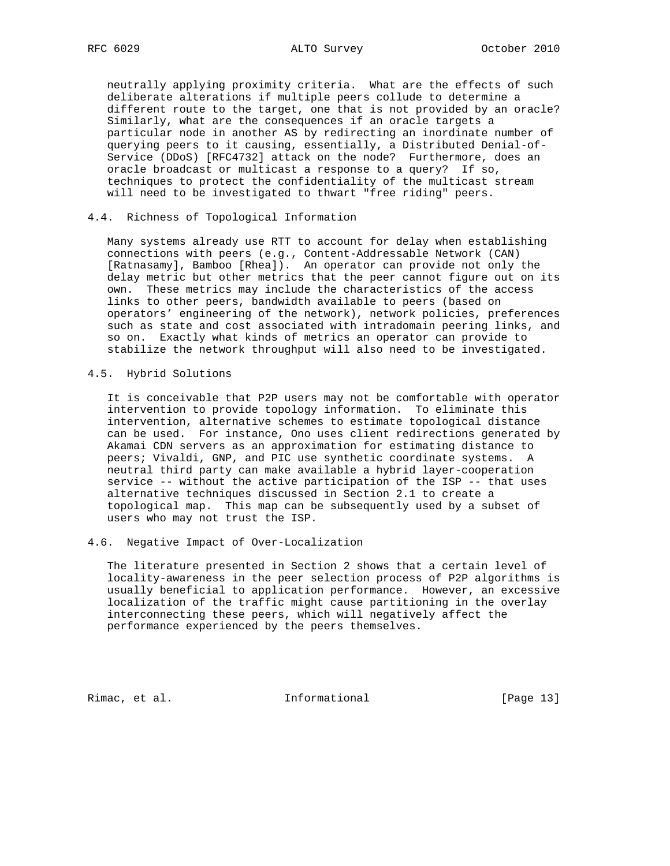neutrally applying proximity criteria. What are the effects of such deliberate alterations if multiple peers collude to determine a different route to the target, one that is not provided by an oracle? Similarly, what are the consequences if an oracle targets a particular node in another AS by redirecting an inordinate number of querying peers to it causing, essentially, a Distributed Denial-of- Service (DDoS) [RFC4732] attack on the node? Furthermore, does an oracle broadcast or multicast a response to a query? If so, techniques to protect the confidentiality of the multicast stream will need to be investigated to thwart "free riding" peers.

4.4. Richness of Topological Information

 Many systems already use RTT to account for delay when establishing connections with peers (e.g., Content-Addressable Network (CAN) [Ratnasamy], Bamboo [Rhea]). An operator can provide not only the delay metric but other metrics that the peer cannot figure out on its own. These metrics may include the characteristics of the access links to other peers, bandwidth available to peers (based on operators' engineering of the network), network policies, preferences such as state and cost associated with intradomain peering links, and so on. Exactly what kinds of metrics an operator can provide to stabilize the network throughput will also need to be investigated.

4.5. Hybrid Solutions

 It is conceivable that P2P users may not be comfortable with operator intervention to provide topology information. To eliminate this intervention, alternative schemes to estimate topological distance can be used. For instance, Ono uses client redirections generated by Akamai CDN servers as an approximation for estimating distance to peers; Vivaldi, GNP, and PIC use synthetic coordinate systems. A neutral third party can make available a hybrid layer-cooperation service -- without the active participation of the ISP -- that uses alternative techniques discussed in Section 2.1 to create a topological map. This map can be subsequently used by a subset of users who may not trust the ISP.

4.6. Negative Impact of Over-Localization

 The literature presented in Section 2 shows that a certain level of locality-awareness in the peer selection process of P2P algorithms is usually beneficial to application performance. However, an excessive localization of the traffic might cause partitioning in the overlay interconnecting these peers, which will negatively affect the performance experienced by the peers themselves.

Rimac, et al. 1nformational [Page 13]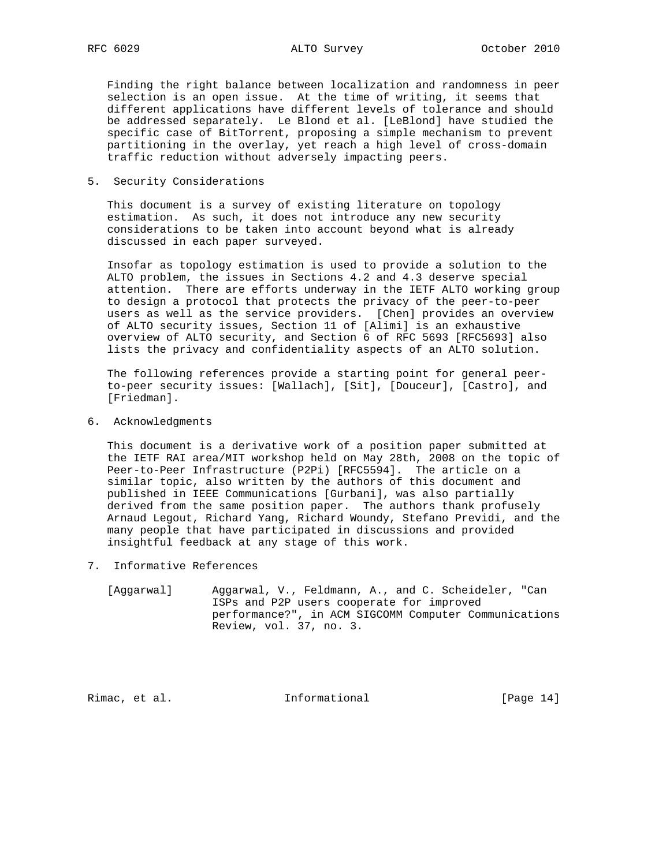Finding the right balance between localization and randomness in peer selection is an open issue. At the time of writing, it seems that different applications have different levels of tolerance and should be addressed separately. Le Blond et al. [LeBlond] have studied the specific case of BitTorrent, proposing a simple mechanism to prevent partitioning in the overlay, yet reach a high level of cross-domain traffic reduction without adversely impacting peers.

5. Security Considerations

 This document is a survey of existing literature on topology estimation. As such, it does not introduce any new security considerations to be taken into account beyond what is already discussed in each paper surveyed.

 Insofar as topology estimation is used to provide a solution to the ALTO problem, the issues in Sections 4.2 and 4.3 deserve special attention. There are efforts underway in the IETF ALTO working group to design a protocol that protects the privacy of the peer-to-peer users as well as the service providers. [Chen] provides an overview of ALTO security issues, Section 11 of [Alimi] is an exhaustive overview of ALTO security, and Section 6 of RFC 5693 [RFC5693] also lists the privacy and confidentiality aspects of an ALTO solution.

 The following references provide a starting point for general peer to-peer security issues: [Wallach], [Sit], [Douceur], [Castro], and [Friedman].

6. Acknowledgments

 This document is a derivative work of a position paper submitted at the IETF RAI area/MIT workshop held on May 28th, 2008 on the topic of Peer-to-Peer Infrastructure (P2Pi) [RFC5594]. The article on a similar topic, also written by the authors of this document and published in IEEE Communications [Gurbani], was also partially derived from the same position paper. The authors thank profusely Arnaud Legout, Richard Yang, Richard Woundy, Stefano Previdi, and the many people that have participated in discussions and provided insightful feedback at any stage of this work.

- 7. Informative References
	- [Aggarwal] Aggarwal, V., Feldmann, A., and C. Scheideler, "Can ISPs and P2P users cooperate for improved performance?", in ACM SIGCOMM Computer Communications Review, vol. 37, no. 3.

Rimac, et al. 1nformational [Page 14]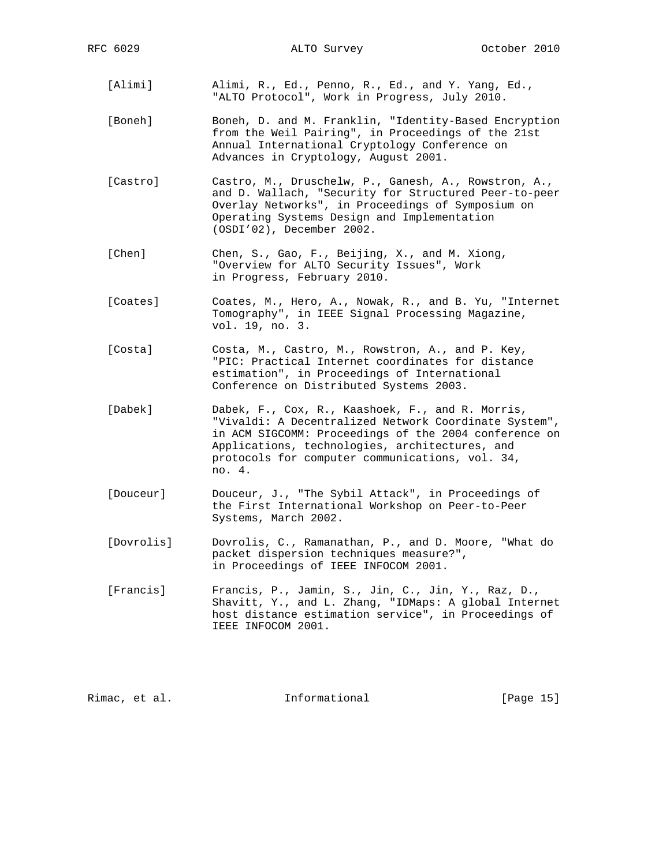- [Alimi] Alimi, R., Ed., Penno, R., Ed., and Y. Yang, Ed., "ALTO Protocol", Work in Progress, July 2010.
- [Boneh] Boneh, D. and M. Franklin, "Identity-Based Encryption from the Weil Pairing", in Proceedings of the 21st Annual International Cryptology Conference on Advances in Cryptology, August 2001.
- [Castro] Castro, M., Druschelw, P., Ganesh, A., Rowstron, A., and D. Wallach, "Security for Structured Peer-to-peer Overlay Networks", in Proceedings of Symposium on Operating Systems Design and Implementation (OSDI'02), December 2002.
- [Chen] Chen, S., Gao, F., Beijing, X., and M. Xiong, "Overview for ALTO Security Issues", Work in Progress, February 2010.
- [Coates] Coates, M., Hero, A., Nowak, R., and B. Yu, "Internet Tomography", in IEEE Signal Processing Magazine, vol. 19, no. 3.
- [Costa] Costa, M., Castro, M., Rowstron, A., and P. Key, "PIC: Practical Internet coordinates for distance estimation", in Proceedings of International Conference on Distributed Systems 2003.
- [Dabek] Dabek, F., Cox, R., Kaashoek, F., and R. Morris, "Vivaldi: A Decentralized Network Coordinate System", in ACM SIGCOMM: Proceedings of the 2004 conference on Applications, technologies, architectures, and protocols for computer communications, vol. 34, no. 4.
- [Douceur] Douceur, J., "The Sybil Attack", in Proceedings of the First International Workshop on Peer-to-Peer Systems, March 2002.
- [Dovrolis] Dovrolis, C., Ramanathan, P., and D. Moore, "What do packet dispersion techniques measure?", in Proceedings of IEEE INFOCOM 2001.
- [Francis] Francis, P., Jamin, S., Jin, C., Jin, Y., Raz, D., Shavitt, Y., and L. Zhang, "IDMaps: A global Internet host distance estimation service", in Proceedings of IEEE INFOCOM 2001.

Rimac, et al. Informational [Page 15]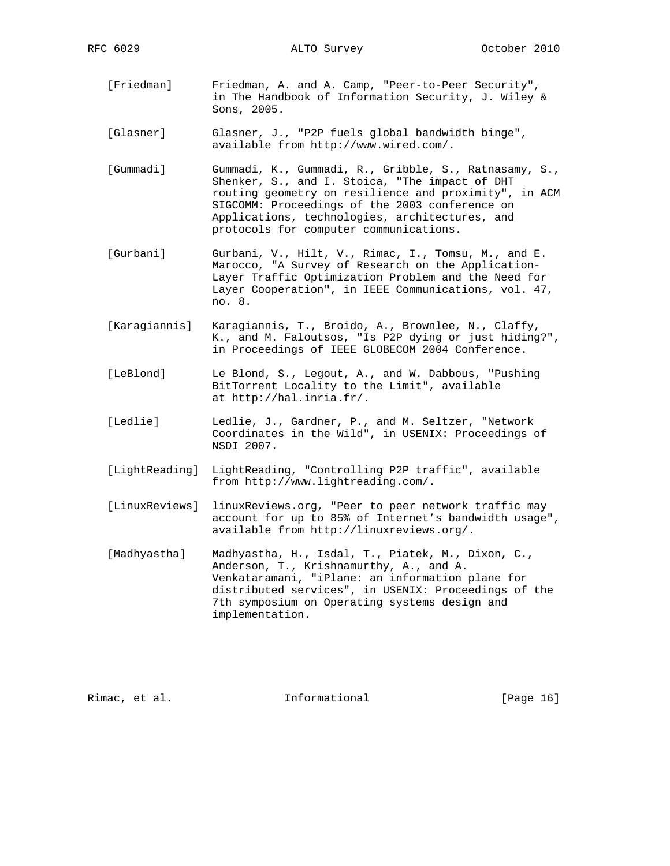- [Friedman] Friedman, A. and A. Camp, "Peer-to-Peer Security", in The Handbook of Information Security, J. Wiley & Sons, 2005.
- [Glasner] Glasner, J., "P2P fuels global bandwidth binge", available from http://www.wired.com/.
- [Gummadi] Gummadi, K., Gummadi, R., Gribble, S., Ratnasamy, S., Shenker, S., and I. Stoica, "The impact of DHT routing geometry on resilience and proximity", in ACM SIGCOMM: Proceedings of the 2003 conference on Applications, technologies, architectures, and protocols for computer communications.
- [Gurbani] Gurbani, V., Hilt, V., Rimac, I., Tomsu, M., and E. Marocco, "A Survey of Research on the Application- Layer Traffic Optimization Problem and the Need for Layer Cooperation", in IEEE Communications, vol. 47, no. 8.
- [Karagiannis] Karagiannis, T., Broido, A., Brownlee, N., Claffy, K., and M. Faloutsos, "Is P2P dying or just hiding?", in Proceedings of IEEE GLOBECOM 2004 Conference.
- [LeBlond] Le Blond, S., Legout, A., and W. Dabbous, "Pushing BitTorrent Locality to the Limit", available at http://hal.inria.fr/.
- [Ledlie] Ledlie, J., Gardner, P., and M. Seltzer, "Network Coordinates in the Wild", in USENIX: Proceedings of NSDI 2007.
- [LightReading] LightReading, "Controlling P2P traffic", available from http://www.lightreading.com/.
- [LinuxReviews] linuxReviews.org, "Peer to peer network traffic may account for up to 85% of Internet's bandwidth usage", available from http://linuxreviews.org/.
- [Madhyastha] Madhyastha, H., Isdal, T., Piatek, M., Dixon, C., Anderson, T., Krishnamurthy, A., and A. Venkataramani, "iPlane: an information plane for distributed services", in USENIX: Proceedings of the 7th symposium on Operating systems design and implementation.

Rimac, et al. Informational [Page 16]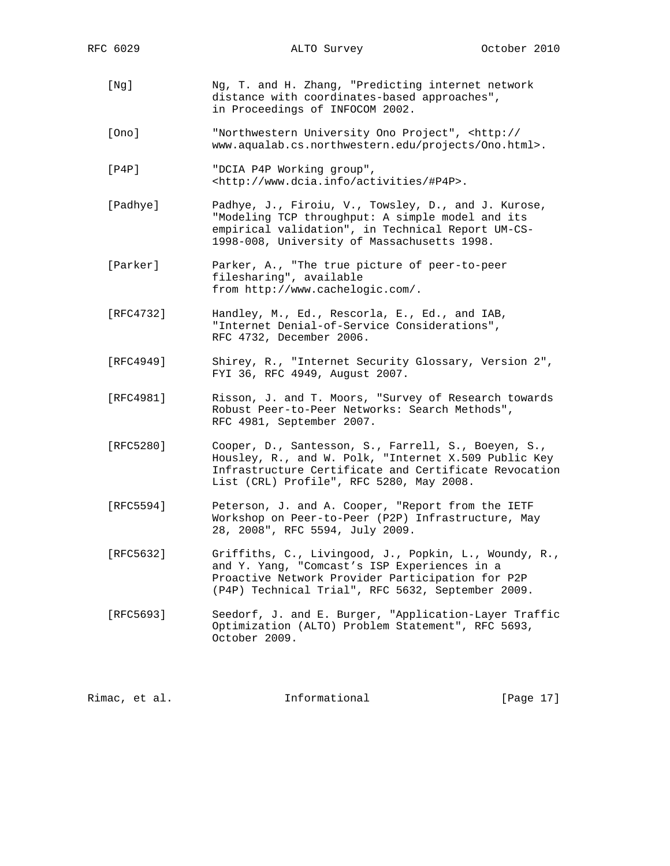- [Ng] Ng, T. and H. Zhang, "Predicting internet network distance with coordinates-based approaches", in Proceedings of INFOCOM 2002.
- [Ono] "Northwestern University Ono Project", <http:// www.aqualab.cs.northwestern.edu/projects/Ono.html>.
- [P4P] "DCIA P4P Working group", <http://www.dcia.info/activities/#P4P>.
- [Padhye] Padhye, J., Firoiu, V., Towsley, D., and J. Kurose, "Modeling TCP throughput: A simple model and its empirical validation", in Technical Report UM-CS- 1998-008, University of Massachusetts 1998.
- [Parker] Parker, A., "The true picture of peer-to-peer filesharing", available from http://www.cachelogic.com/.
- [RFC4732] Handley, M., Ed., Rescorla, E., Ed., and IAB, "Internet Denial-of-Service Considerations", RFC 4732, December 2006.
- [RFC4949] Shirey, R., "Internet Security Glossary, Version 2", FYI 36, RFC 4949, August 2007.
- [RFC4981] Risson, J. and T. Moors, "Survey of Research towards Robust Peer-to-Peer Networks: Search Methods", RFC 4981, September 2007.
- [RFC5280] Cooper, D., Santesson, S., Farrell, S., Boeyen, S., Housley, R., and W. Polk, "Internet X.509 Public Key Infrastructure Certificate and Certificate Revocation List (CRL) Profile", RFC 5280, May 2008.
- [RFC5594] Peterson, J. and A. Cooper, "Report from the IETF Workshop on Peer-to-Peer (P2P) Infrastructure, May 28, 2008", RFC 5594, July 2009.
- [RFC5632] Griffiths, C., Livingood, J., Popkin, L., Woundy, R., and Y. Yang, "Comcast's ISP Experiences in a Proactive Network Provider Participation for P2P (P4P) Technical Trial", RFC 5632, September 2009.
- [RFC5693] Seedorf, J. and E. Burger, "Application-Layer Traffic Optimization (ALTO) Problem Statement", RFC 5693, October 2009.

| Rimac, et al. | Informational | [Page 17] |  |
|---------------|---------------|-----------|--|
|               |               |           |  |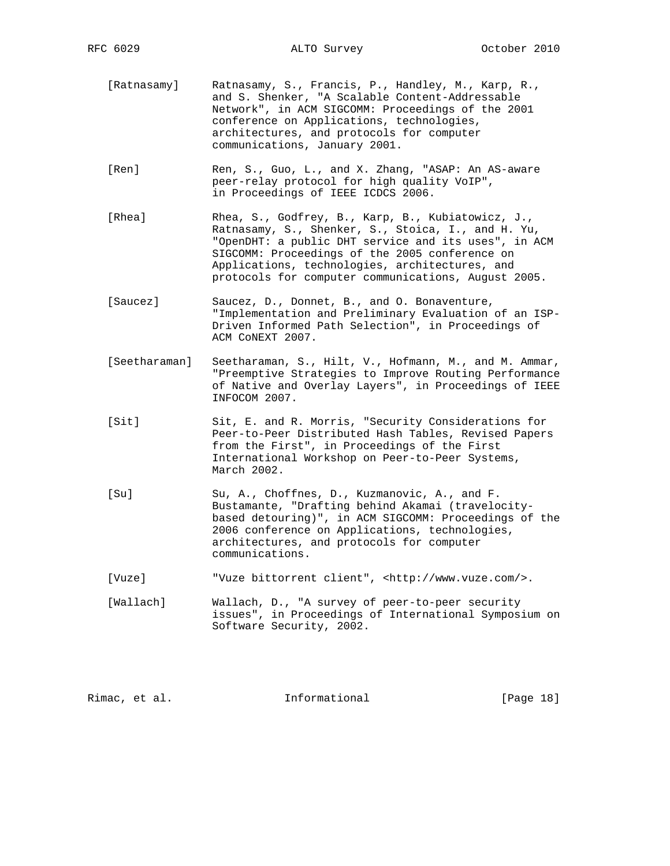- [Ratnasamy] Ratnasamy, S., Francis, P., Handley, M., Karp, R., and S. Shenker, "A Scalable Content-Addressable Network", in ACM SIGCOMM: Proceedings of the 2001 conference on Applications, technologies, architectures, and protocols for computer communications, January 2001.
- [Ren] Ren, S., Guo, L., and X. Zhang, "ASAP: An AS-aware peer-relay protocol for high quality VoIP", in Proceedings of IEEE ICDCS 2006.
- [Rhea] Rhea, S., Godfrey, B., Karp, B., Kubiatowicz, J., Ratnasamy, S., Shenker, S., Stoica, I., and H. Yu, "OpenDHT: a public DHT service and its uses", in ACM SIGCOMM: Proceedings of the 2005 conference on Applications, technologies, architectures, and protocols for computer communications, August 2005.
- [Saucez] Saucez, D., Donnet, B., and O. Bonaventure, "Implementation and Preliminary Evaluation of an ISP- Driven Informed Path Selection", in Proceedings of ACM CoNEXT 2007.
- [Seetharaman] Seetharaman, S., Hilt, V., Hofmann, M., and M. Ammar, "Preemptive Strategies to Improve Routing Performance of Native and Overlay Layers", in Proceedings of IEEE INFOCOM 2007.
- [Sit] Sit, E. and R. Morris, "Security Considerations for Peer-to-Peer Distributed Hash Tables, Revised Papers from the First", in Proceedings of the First International Workshop on Peer-to-Peer Systems, March 2002.
- [Su] Su, A., Choffnes, D., Kuzmanovic, A., and F. Bustamante, "Drafting behind Akamai (travelocity based detouring)", in ACM SIGCOMM: Proceedings of the 2006 conference on Applications, technologies, architectures, and protocols for computer communications.
- [Vuze] "Vuze bittorrent client", <http://www.vuze.com/>.
- [Wallach] Wallach, D., "A survey of peer-to-peer security issues", in Proceedings of International Symposium on Software Security, 2002.

| [Page 18]<br>Rimac, et al.<br>Informational |  |
|---------------------------------------------|--|
|---------------------------------------------|--|